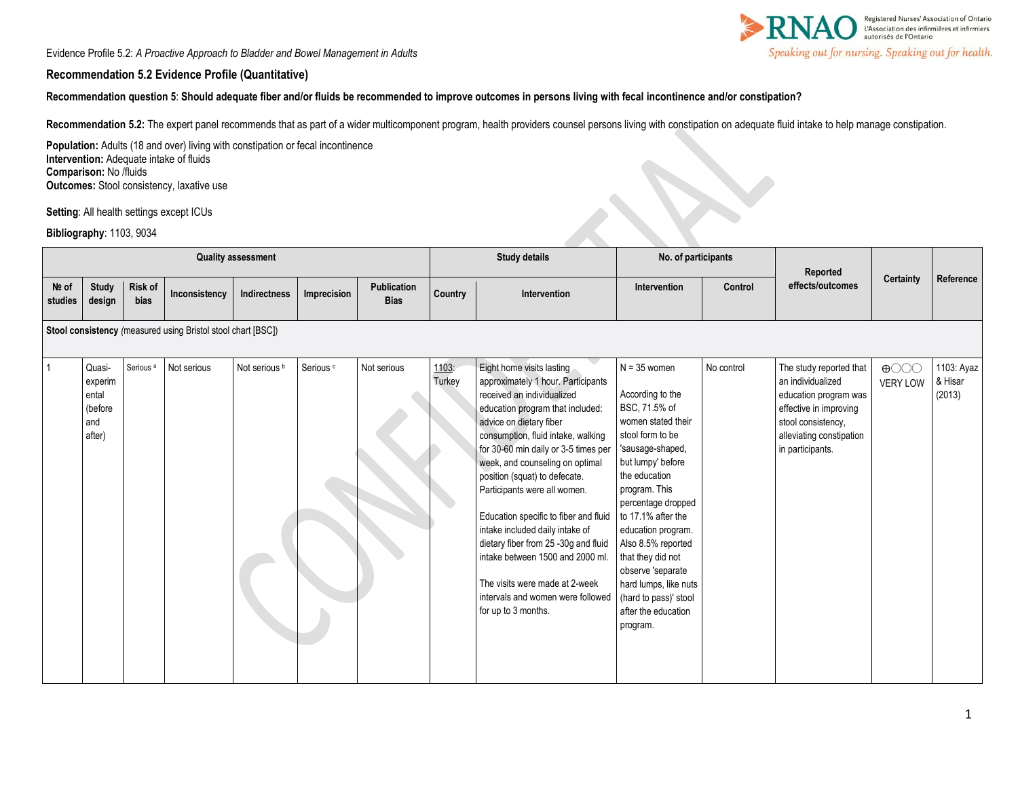Evidence Profile 5.2: *A Proactive Approach to Bladder and Bowel Management in Adults* 



### **Recommendation 5.2 Evidence Profile (Quantitative)**

**Recommendation question 5**: **Should adequate fiber and/or fluids be recommended to improve outcomes in persons living with fecal incontinence and/or constipation?**

Recommendation 5.2: The expert panel recommends that as part of a wider multicomponent program, health providers counsel persons living with constipation on adequate fluid intake to help manage constipation.

Population: Adults (18 and over) living with constipation or fecal incontinence **Intervention:** Adequate intake of fluids **Comparison:** No /fluids **Outcomes:** Stool consistency, laxative use

**Setting**: All health settings except ICUs

### **Bibliography**: 1103, 9034

| <b>Quality assessment</b> |                                                              |                      |               |               |                      |                            | <b>Study details</b> |                                                                                                                                                                                                                                                                                                                                                                                                                                                                                                                                                                                                      | No. of participants                                                                                                                                                                                                                                                                                                                                                                             |            | Reported                                                                                                                                                              |                                |                                 |
|---------------------------|--------------------------------------------------------------|----------------------|---------------|---------------|----------------------|----------------------------|----------------------|------------------------------------------------------------------------------------------------------------------------------------------------------------------------------------------------------------------------------------------------------------------------------------------------------------------------------------------------------------------------------------------------------------------------------------------------------------------------------------------------------------------------------------------------------------------------------------------------------|-------------------------------------------------------------------------------------------------------------------------------------------------------------------------------------------------------------------------------------------------------------------------------------------------------------------------------------------------------------------------------------------------|------------|-----------------------------------------------------------------------------------------------------------------------------------------------------------------------|--------------------------------|---------------------------------|
| Nº of<br>studies          | <b>Study</b><br>design                                       | Risk of<br>bias      | Inconsistency | Indirectness  | Imprecision          | Publication<br><b>Bias</b> | Country              | Intervention                                                                                                                                                                                                                                                                                                                                                                                                                                                                                                                                                                                         | Intervention                                                                                                                                                                                                                                                                                                                                                                                    | Control    | effects/outcomes                                                                                                                                                      | Certainty                      | Reference                       |
|                           | Stool consistency (measured using Bristol stool chart [BSC]) |                      |               |               |                      |                            |                      |                                                                                                                                                                                                                                                                                                                                                                                                                                                                                                                                                                                                      |                                                                                                                                                                                                                                                                                                                                                                                                 |            |                                                                                                                                                                       |                                |                                 |
| $\mathbf{1}$              | Quasi-<br>experim<br>ental<br>(before<br>and<br>after)       | Serious <sup>a</sup> | Not serious   | Not serious b | Serious <sup>c</sup> | Not serious                | 1103:<br>Turkey      | Eight home visits lasting<br>approximately 1 hour. Participants<br>received an individualized<br>education program that included:<br>advice on dietary fiber<br>consumption, fluid intake, walking<br>for 30-60 min daily or 3-5 times per<br>week, and counseling on optimal<br>position (squat) to defecate.<br>Participants were all women.<br>Education specific to fiber and fluid<br>intake included daily intake of<br>dietary fiber from 25 -30g and fluid<br>intake between 1500 and 2000 ml.<br>The visits were made at 2-week<br>intervals and women were followed<br>for up to 3 months. | $N = 35$ women<br>According to the<br>BSC, 71.5% of<br>women stated their<br>stool form to be<br>'sausage-shaped,<br>but lumpy' before<br>the education<br>program. This<br>percentage dropped<br>to 17.1% after the<br>education program.<br>Also 8.5% reported<br>that they did not<br>observe 'separate<br>hard lumps, like nuts<br>(hard to pass)' stool<br>after the education<br>program. | No control | The study reported that<br>an individualized<br>education program was<br>effective in improving<br>stool consistency.<br>alleviating constipation<br>in participants. | $\bigoplus$<br><b>VERY LOW</b> | 1103: Ayaz<br>& Hisar<br>(2013) |